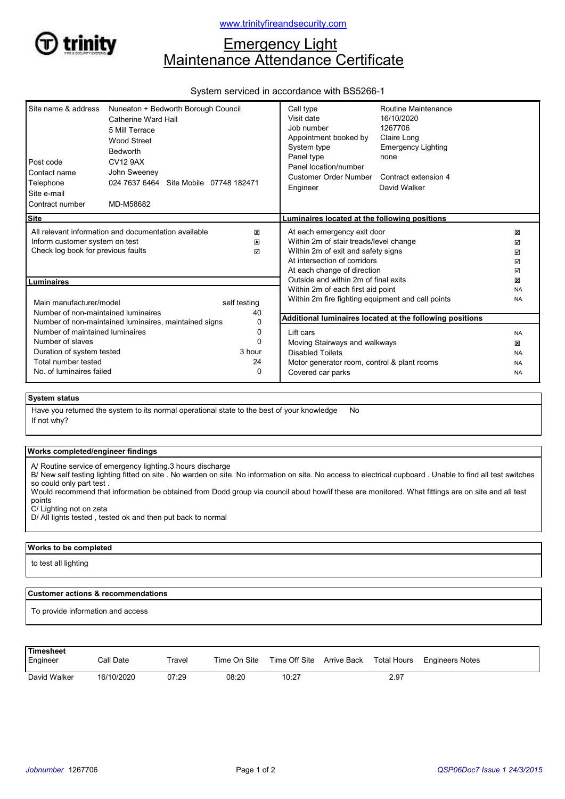

## www.trinityfireandsecurity.com

# **Emergency Light** Maintenance Attendance Certificate

### System serviced in accordance with BS5266-1

| Site name & address<br>Post code<br>Contact name<br>Telephone<br>Site e-mail<br>Contract number                                             | Nuneaton + Bedworth Borough Council<br>Catherine Ward Hall<br>5 Mill Terrace<br>Wood Street<br><b>Bedworth</b><br><b>CV12 9AX</b><br>John Sweeney<br>024 7637 6464 Site Mobile 07748 182471<br>MD-M58682 |                                                                                                                                                                            | Call type<br>Visit date<br>Job number<br>Appointment booked by<br>System type<br>Panel type<br>Panel location/number<br>Customer Order Number<br>Engineer | Routine Maintenance<br>16/10/2020<br>1267706<br>Claire Long<br><b>Emergency Lighting</b><br>none<br>Contract extension 4<br>David Walker |                        |
|---------------------------------------------------------------------------------------------------------------------------------------------|----------------------------------------------------------------------------------------------------------------------------------------------------------------------------------------------------------|----------------------------------------------------------------------------------------------------------------------------------------------------------------------------|-----------------------------------------------------------------------------------------------------------------------------------------------------------|------------------------------------------------------------------------------------------------------------------------------------------|------------------------|
| <b>Site</b>                                                                                                                                 |                                                                                                                                                                                                          |                                                                                                                                                                            | Luminaires located at the following positions                                                                                                             |                                                                                                                                          |                        |
| All relevant information and documentation available<br>×<br>Inform customer system on test<br>×<br>Check log book for previous faults<br>☑ |                                                                                                                                                                                                          | At each emergency exit door<br>Within 2m of stair treads/level change<br>Within 2m of exit and safety signs<br>At intersection of corridors<br>At each change of direction |                                                                                                                                                           | ×<br>☑<br>☑<br>☑<br>☑                                                                                                                    |                        |
| Luminaires                                                                                                                                  |                                                                                                                                                                                                          |                                                                                                                                                                            | Outside and within 2m of final exits                                                                                                                      |                                                                                                                                          | ×                      |
| Main manufacturer/model<br>Number of non-maintained luminaires                                                                              |                                                                                                                                                                                                          | self testing<br>40                                                                                                                                                         | Within 2m of each first aid point<br>Within 2m fire fighting equipment and call points                                                                    | Additional luminaires located at the following positions                                                                                 | <b>NA</b><br><b>NA</b> |
| Number of non-maintained luminaires, maintained signs<br>0                                                                                  |                                                                                                                                                                                                          |                                                                                                                                                                            |                                                                                                                                                           |                                                                                                                                          |                        |
| Number of maintained luminaires                                                                                                             |                                                                                                                                                                                                          | 0                                                                                                                                                                          | Lift cars                                                                                                                                                 |                                                                                                                                          | <b>NA</b>              |
| Number of slaves                                                                                                                            |                                                                                                                                                                                                          | ŋ                                                                                                                                                                          | Moving Stairways and walkways                                                                                                                             |                                                                                                                                          | ×                      |
| 3 hour<br>Duration of system tested                                                                                                         |                                                                                                                                                                                                          |                                                                                                                                                                            | <b>Disabled Toilets</b>                                                                                                                                   |                                                                                                                                          | <b>NA</b>              |
| Total number tested<br>No. of luminaires failed                                                                                             |                                                                                                                                                                                                          | 24<br>$\Omega$                                                                                                                                                             | Motor generator room, control & plant rooms<br>Covered car parks                                                                                          |                                                                                                                                          | <b>NA</b><br><b>NA</b> |

### System status

If not why? Have you returned the system to its normal operational state to the best of your knowledge No

#### Works completed/engineer findings

A/ Routine service of emergency lighting.3 hours discharge

B/ New self testing lighting fitted on site . No warden on site. No information on site. No access to electrical cupboard . Unable to find all test switches so could only part test .

Would recommend that information be obtained from Dodd group via council about how/if these are monitored. What fittings are on site and all test points

C/ Lighting not on zeta

D/ All lights tested, tested ok and then put back to normal

#### Works to be completed

to test all lighting

#### Customer actions & recommendations

To provide information and access

| l Timesheet<br>Engineer | Call Date  | Travel | Time On Site | Time Off Site | Arrive Back | <b>Total Hours</b> | Engineers Notes |
|-------------------------|------------|--------|--------------|---------------|-------------|--------------------|-----------------|
| David Walker            | 16/10/2020 | 07:29  | 08:20        | 10:27         |             | 2.97               |                 |